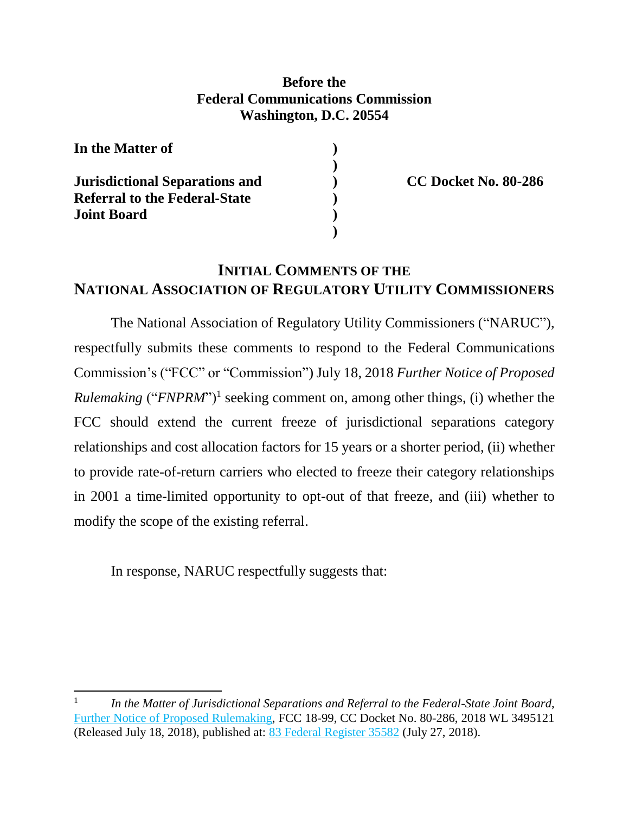## **Before the Federal Communications Commission Washington, D.C. 20554**

| In the Matter of                      |  |
|---------------------------------------|--|
|                                       |  |
| <b>Jurisdictional Separations and</b> |  |
| <b>Referral to the Federal-State</b>  |  |
| <b>Joint Board</b>                    |  |
|                                       |  |

**Jurisdictional Separations and ) CC Docket No. 80-286**

# **INITIAL COMMENTS OF THE NATIONAL ASSOCIATION OF REGULATORY UTILITY COMMISSIONERS**

The National Association of Regulatory Utility Commissioners ("NARUC"), respectfully submits these comments to respond to the Federal Communications Commission's ("FCC" or "Commission") July 18, 2018 *Further Notice of Proposed Rulemaking* ("*FNPRM*")<sup>1</sup> seeking comment on, among other things, (i) whether the FCC should extend the current freeze of jurisdictional separations category relationships and cost allocation factors for 15 years or a shorter period, (ii) whether to provide rate-of-return carriers who elected to freeze their category relationships in 2001 a time-limited opportunity to opt-out of that freeze, and (iii) whether to modify the scope of the existing referral.

In response, NARUC respectfully suggests that:

 $\overline{\phantom{a}}$ 

<sup>1</sup> *In the Matter of Jurisdictional Separations and Referral to the Federal-State Joint Board*, [Further Notice of Proposed Rulemaking,](https://docs.fcc.gov/public/attachments/FCC-18-99A1.docx) FCC 18-99, CC Docket No. 80-286, 2018 WL 3495121 (Released July 18, 2018), published at: [83 Federal Register 35582](https://www.gpo.gov/fdsys/pkg/FR-2018-07-27/pdf/2018-16040.pdf) (July 27, 2018).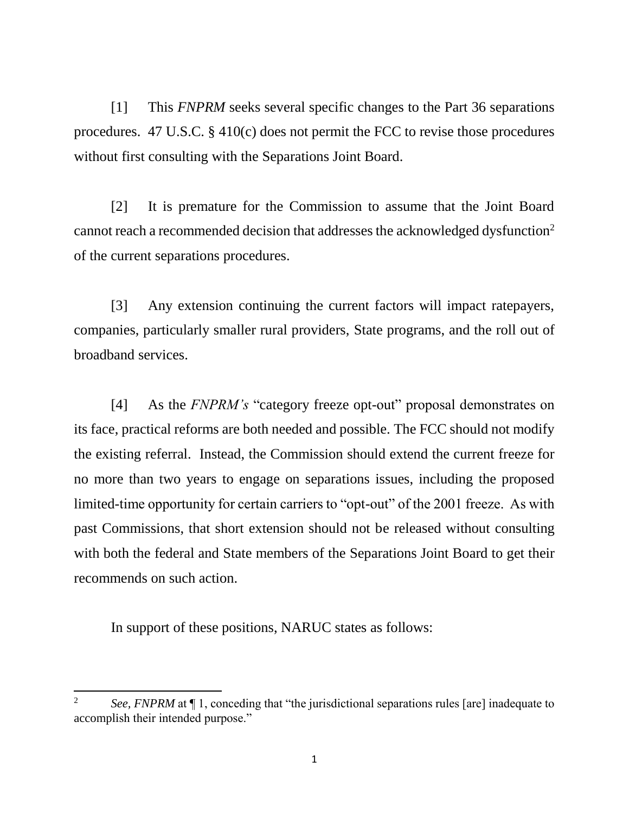[1] This *FNPRM* seeks several specific changes to the Part 36 separations procedures. 47 U.S.C. § 410(c) does not permit the FCC to revise those procedures without first consulting with the Separations Joint Board.

[2] It is premature for the Commission to assume that the Joint Board cannot reach a recommended decision that addresses the acknowledged dysfunction<sup>2</sup> of the current separations procedures.

[3] Any extension continuing the current factors will impact ratepayers, companies, particularly smaller rural providers, State programs, and the roll out of broadband services.

[4] As the *FNPRM's* "category freeze opt-out" proposal demonstrates on its face, practical reforms are both needed and possible. The FCC should not modify the existing referral. Instead, the Commission should extend the current freeze for no more than two years to engage on separations issues, including the proposed limited-time opportunity for certain carriers to "opt-out" of the 2001 freeze. As with past Commissions, that short extension should not be released without consulting with both the federal and State members of the Separations Joint Board to get their recommends on such action.

In support of these positions, NARUC states as follows:

 $\overline{\phantom{a}}$ 

<sup>2</sup> *See, FNPRM* at  $\P$  1, conceding that "the jurisdictional separations rules [are] inadequate to accomplish their intended purpose."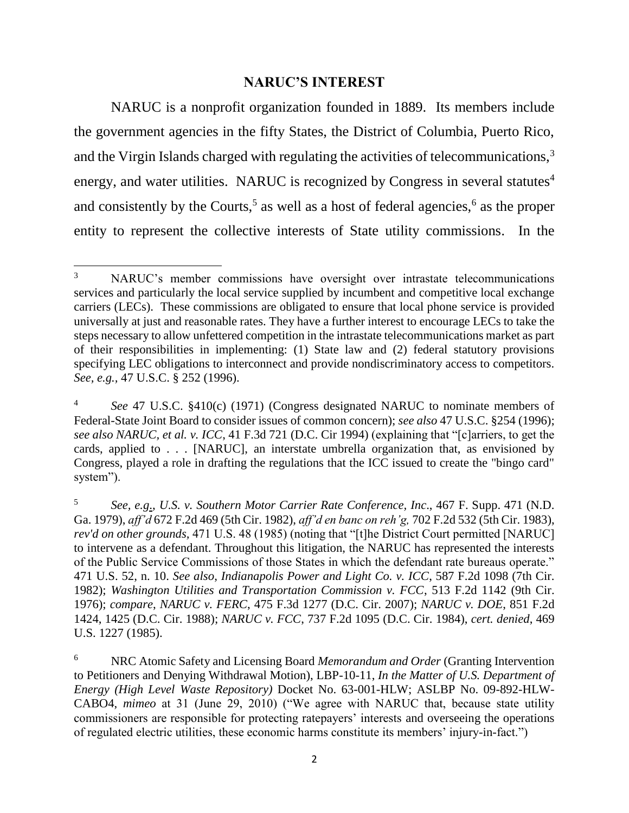### **NARUC'S INTEREST**

NARUC is a nonprofit organization founded in 1889. Its members include the government agencies in the fifty States, the District of Columbia, Puerto Rico, and the Virgin Islands charged with regulating the activities of telecommunications,<sup>3</sup> energy, and water utilities. NARUC is recognized by Congress in several statutes<sup>4</sup> and consistently by the Courts,<sup>5</sup> as well as a host of federal agencies,<sup>6</sup> as the proper entity to represent the collective interests of State utility commissions*.* In the

 $\overline{3}$ <sup>3</sup> NARUC's member commissions have oversight over intrastate telecommunications services and particularly the local service supplied by incumbent and competitive local exchange carriers (LECs). These commissions are obligated to ensure that local phone service is provided universally at just and reasonable rates. They have a further interest to encourage LECs to take the steps necessary to allow unfettered competition in the intrastate telecommunications market as part of their responsibilities in implementing: (1) State law and (2) federal statutory provisions specifying LEC obligations to interconnect and provide nondiscriminatory access to competitors. *See, e.g.,* 47 U.S.C. § 252 (1996).

<sup>4</sup> *See* 47 U.S.C. §410(c) (1971) (Congress designated NARUC to nominate members of Federal-State Joint Board to consider issues of common concern); *see also* 47 U.S.C. §254 (1996); *see also NARUC, et al. v. ICC*, 41 F.3d 721 (D.C. Cir 1994) (explaining that "[c]arriers, to get the cards, applied to . . . [NARUC], an interstate umbrella organization that, as envisioned by Congress, played a role in drafting the regulations that the ICC issued to create the "bingo card" system").

<sup>5</sup> *See, e.g*., *U.S. v. Southern Motor Carrier Rate Conference, Inc*., 467 F. Supp. 471 (N.D. Ga. 1979), *aff'd* 672 F.2d 469 (5th Cir. 1982), *aff'd en banc on reh'g,* 702 F.2d 532 (5th Cir. 1983), *rev'd on other grounds,* 471 U.S. 48 (1985) (noting that "[t]he District Court permitted [NARUC] to intervene as a defendant. Throughout this litigation, the NARUC has represented the interests of the Public Service Commissions of those States in which the defendant rate bureaus operate." 471 U.S. 52, n. 10. *See also*, *Indianapolis Power and Light Co. v. ICC*, 587 F.2d 1098 (7th Cir. 1982); *Washington Utilities and Transportation Commission v. FCC*, 513 F.2d 1142 (9th Cir. 1976); *compare*, *NARUC v. FERC*, 475 F.3d 1277 (D.C. Cir. 2007); *NARUC v. DOE*, 851 F.2d 1424, 1425 (D.C. Cir. 1988); *NARUC v. FCC*, 737 F.2d 1095 (D.C. Cir. 1984), *cert. denied*, 469 U.S. 1227 (1985).

<sup>6</sup> NRC Atomic Safety and Licensing Board *Memorandum and Order* (Granting Intervention to Petitioners and Denying Withdrawal Motion), LBP-10-11, *In the Matter of U.S. Department of Energy (High Level Waste Repository)* Docket No. 63-001-HLW; ASLBP No. 09-892-HLW-CABO4, *mimeo* at 31 (June 29, 2010) ("We agree with NARUC that, because state utility commissioners are responsible for protecting ratepayers' interests and overseeing the operations of regulated electric utilities, these economic harms constitute its members' injury-in-fact.")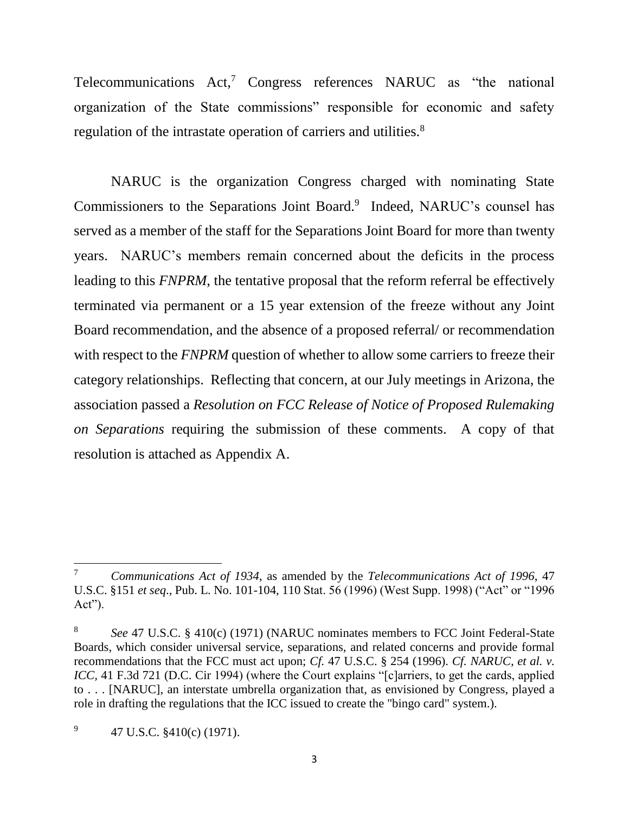Telecommunications  $Act<sub>1</sub><sup>7</sup> Congress references NARUC as "the national"$ organization of the State commissions" responsible for economic and safety regulation of the intrastate operation of carriers and utilities.<sup>8</sup>

NARUC is the organization Congress charged with nominating State Commissioners to the Separations Joint Board.<sup>9</sup> Indeed, NARUC's counsel has served as a member of the staff for the Separations Joint Board for more than twenty years. NARUC's members remain concerned about the deficits in the process leading to this *FNPRM*, the tentative proposal that the reform referral be effectively terminated via permanent or a 15 year extension of the freeze without any Joint Board recommendation, and the absence of a proposed referral/ or recommendation with respect to the *FNPRM* question of whether to allow some carriers to freeze their category relationships. Reflecting that concern, at our July meetings in Arizona, the association passed a *Resolution on FCC Release of Notice of Proposed Rulemaking on Separations* requiring the submission of these comments. A copy of that resolution is attached as Appendix A.

 $\overline{\phantom{a}}$ 

<sup>7</sup> *Communications Act of 1934*, as amended by the *Telecommunications Act of 1996*, 47 U.S.C. §151 *et seq*., Pub. L. No. 101-104, 110 Stat. 56 (1996) (West Supp. 1998) ("Act" or "1996 Act").

<sup>8</sup> *See* 47 U.S.C. § 410(c) (1971) (NARUC nominates members to FCC Joint Federal-State Boards, which consider universal service, separations, and related concerns and provide formal recommendations that the FCC must act upon; *Cf.* 47 U.S.C. § 254 (1996). *Cf. NARUC, et al. v. ICC*, 41 F.3d 721 (D.C. Cir 1994) (where the Court explains "[c]arriers, to get the cards, applied to . . . [NARUC], an interstate umbrella organization that, as envisioned by Congress, played a role in drafting the regulations that the ICC issued to create the "bingo card" system.).

<sup>9</sup> 47 U.S.C. §410(c) (1971).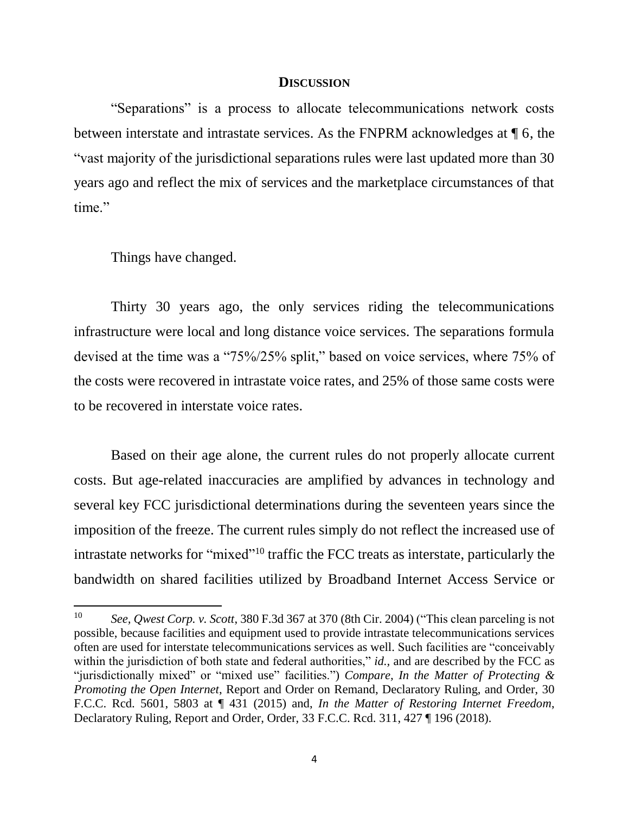#### **DISCUSSION**

"Separations" is a process to allocate telecommunications network costs between interstate and intrastate services. As the FNPRM acknowledges at ¶ 6, the "vast majority of the jurisdictional separations rules were last updated more than 30 years ago and reflect the mix of services and the marketplace circumstances of that time."

Things have changed.

Thirty 30 years ago, the only services riding the telecommunications infrastructure were local and long distance voice services. The separations formula devised at the time was a "75%/25% split," based on voice services, where 75% of the costs were recovered in intrastate voice rates, and 25% of those same costs were to be recovered in interstate voice rates.

Based on their age alone, the current rules do not properly allocate current costs. But age-related inaccuracies are amplified by advances in technology and several key FCC jurisdictional determinations during the seventeen years since the imposition of the freeze. The current rules simply do not reflect the increased use of intrastate networks for "mixed"<sup>10</sup> traffic the FCC treats as interstate, particularly the bandwidth on shared facilities utilized by Broadband Internet Access Service or

 $10<sup>°</sup>$ <sup>10</sup> *See, Qwest Corp. v. Scott*, 380 F.3d 367 at 370 (8th Cir. 2004) ("This clean parceling is not possible, because facilities and equipment used to provide intrastate telecommunications services often are used for interstate telecommunications services as well. Such facilities are "conceivably within the jurisdiction of both state and federal authorities," *id.*, and are described by the FCC as "jurisdictionally mixed" or "mixed use" facilities.") *Compare, In the Matter of Protecting & Promoting the Open Internet*, Report and Order on Remand, Declaratory Ruling, and Order, 30 F.C.C. Rcd. 5601, 5803 at ¶ 431 (2015) and, *In the Matter of Restoring Internet Freedom*, Declaratory Ruling, Report and Order, Order, 33 F.C.C. Rcd. 311, 427 ¶ 196 (2018).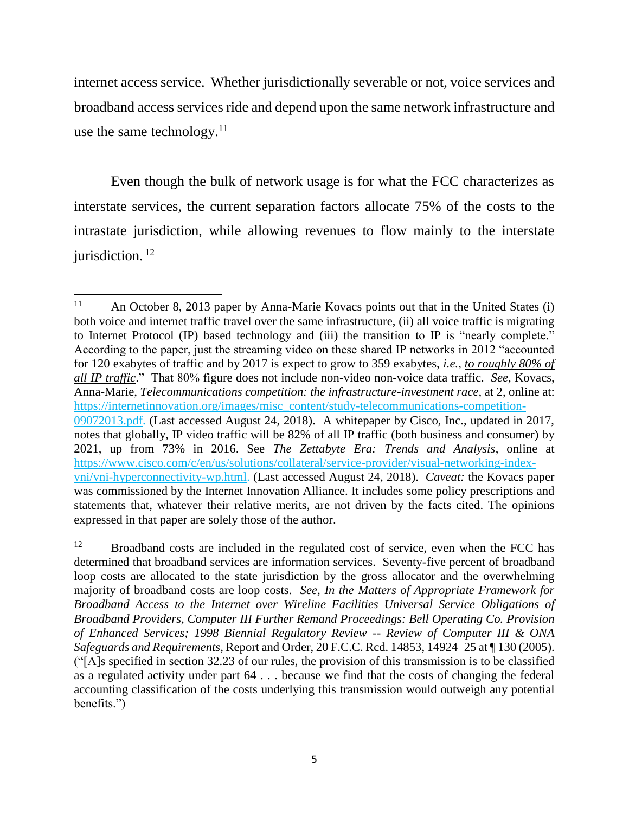internet access service. Whether jurisdictionally severable or not, voice services and broadband access services ride and depend upon the same network infrastructure and use the same technology. $^{11}$ 

Even though the bulk of network usage is for what the FCC characterizes as interstate services, the current separation factors allocate 75% of the costs to the intrastate jurisdiction, while allowing revenues to flow mainly to the interstate jurisdiction.<sup>12</sup>

 $11$ An October 8, 2013 paper by Anna-Marie Kovacs points out that in the United States (i) both voice and internet traffic travel over the same infrastructure, (ii) all voice traffic is migrating to Internet Protocol (IP) based technology and (iii) the transition to IP is "nearly complete." According to the paper, just the streaming video on these shared IP networks in 2012 "accounted for 120 exabytes of traffic and by 2017 is expect to grow to 359 exabytes, *i.e., to roughly 80% of all IP traffic*." That 80% figure does not include non-video non-voice data traffic. *See,* Kovacs, Anna-Marie, *Telecommunications competition: the infrastructure-investment race,* at 2, online at: [https://internetinnovation.org/images/misc\\_content/study-telecommunications-competition-](https://internetinnovation.org/images/misc_content/study-telecommunications-competition-09072013.pdf)[09072013.pdf.](https://internetinnovation.org/images/misc_content/study-telecommunications-competition-09072013.pdf) (Last accessed August 24, 2018). A whitepaper by Cisco, Inc., updated in 2017, notes that globally, IP video traffic will be 82% of all IP traffic (both business and consumer) by 2021, up from 73% in 2016. See *The Zettabyte Era: Trends and Analysis*, online at [https://www.cisco.com/c/en/us/solutions/collateral/service-provider/visual-networking-index](https://www.cisco.com/c/en/us/solutions/collateral/service-provider/visual-networking-index-vni/vni-hyperconnectivity-wp.html)[vni/vni-hyperconnectivity-wp.html.](https://www.cisco.com/c/en/us/solutions/collateral/service-provider/visual-networking-index-vni/vni-hyperconnectivity-wp.html) (Last accessed August 24, 2018). *Caveat:* the Kovacs paper was commissioned by the Internet Innovation Alliance. It includes some policy prescriptions and statements that, whatever their relative merits, are not driven by the facts cited. The opinions expressed in that paper are solely those of the author.

<sup>&</sup>lt;sup>12</sup> Broadband costs are included in the regulated cost of service, even when the FCC has determined that broadband services are information services. Seventy-five percent of broadband loop costs are allocated to the state jurisdiction by the gross allocator and the overwhelming majority of broadband costs are loop costs. *See, In the Matters of Appropriate Framework for Broadband Access to the Internet over Wireline Facilities Universal Service Obligations of Broadband Providers, Computer III Further Remand Proceedings: Bell Operating Co. Provision of Enhanced Services; 1998 Biennial Regulatory Review -- Review of Computer III & ONA Safeguards and Requirements,* Report and Order, 20 F.C.C. Rcd. 14853, 14924–25 at ¶ 130 (2005). ("[A]s specified in section 32.23 of our rules, the provision of this transmission is to be classified as a regulated activity under part 64 . . . because we find that the costs of changing the federal accounting classification of the costs underlying this transmission would outweigh any potential benefits.")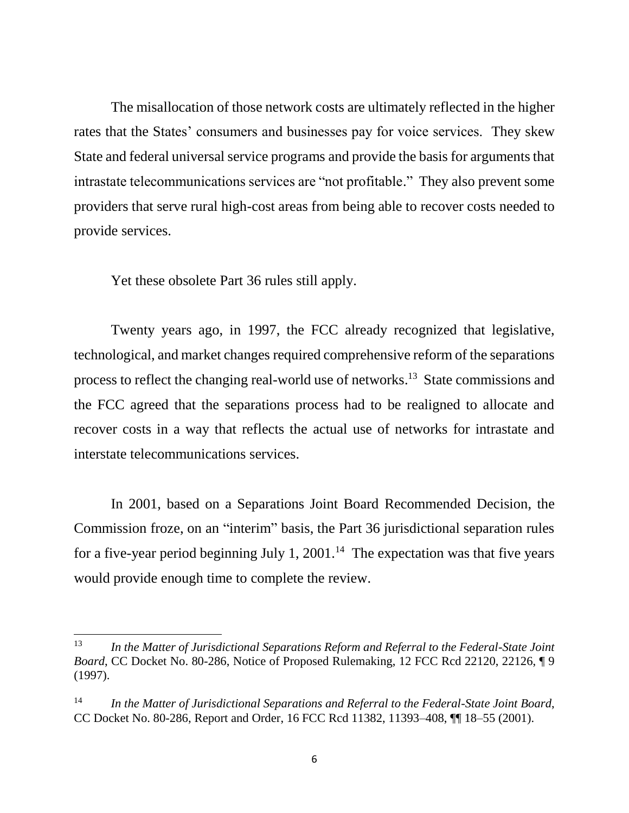The misallocation of those network costs are ultimately reflected in the higher rates that the States' consumers and businesses pay for voice services. They skew State and federal universal service programs and provide the basis for arguments that intrastate telecommunications services are "not profitable." They also prevent some providers that serve rural high-cost areas from being able to recover costs needed to provide services.

Yet these obsolete Part 36 rules still apply.

 $\overline{\phantom{a}}$ 

Twenty years ago, in 1997, the FCC already recognized that legislative, technological, and market changes required comprehensive reform of the separations process to reflect the changing real-world use of networks.<sup>13</sup> State commissions and the FCC agreed that the separations process had to be realigned to allocate and recover costs in a way that reflects the actual use of networks for intrastate and interstate telecommunications services.

In 2001, based on a Separations Joint Board Recommended Decision, the Commission froze, on an "interim" basis, the Part 36 jurisdictional separation rules for a five-year period beginning July 1, 2001.<sup>14</sup> The expectation was that five years would provide enough time to complete the review.

<sup>13</sup> *In the Matter of Jurisdictional Separations Reform and Referral to the Federal-State Joint Board*, CC Docket No. 80-286, Notice of Proposed Rulemaking, 12 FCC Rcd 22120, 22126, ¶ 9 (1997).

<sup>14</sup> *In the Matter of Jurisdictional Separations and Referral to the Federal-State Joint Board*, CC Docket No. 80-286, Report and Order, 16 FCC Rcd 11382, 11393–408, ¶¶ 18–55 (2001).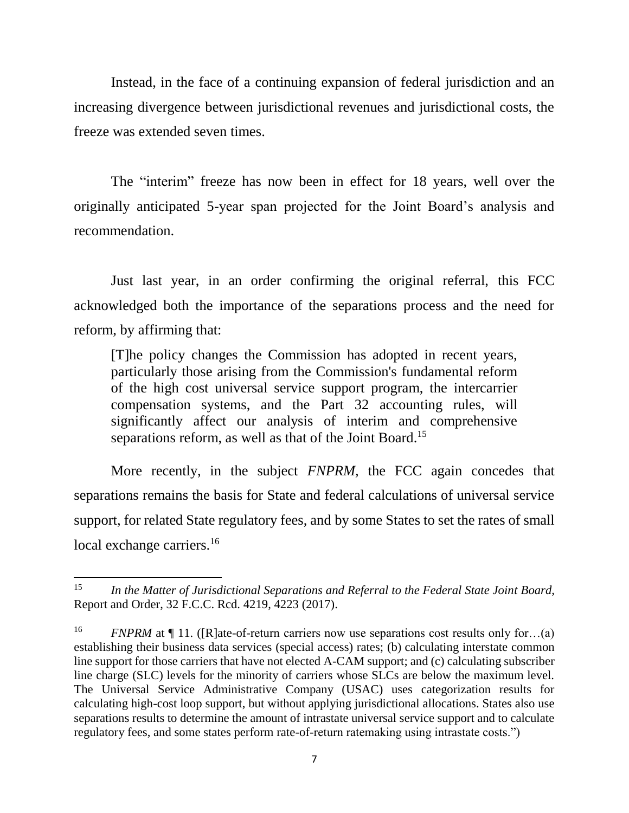Instead, in the face of a continuing expansion of federal jurisdiction and an increasing divergence between jurisdictional revenues and jurisdictional costs, the freeze was extended seven times.

The "interim" freeze has now been in effect for 18 years, well over the originally anticipated 5-year span projected for the Joint Board's analysis and recommendation.

Just last year, in an order confirming the original referral, this FCC acknowledged both the importance of the separations process and the need for reform, by affirming that:

[T]he policy changes the Commission has adopted in recent years, particularly those arising from the Commission's fundamental reform of the high cost universal service support program, the intercarrier compensation systems, and the Part 32 accounting rules, will significantly affect our analysis of interim and comprehensive separations reform, as well as that of the Joint Board.<sup>15</sup>

More recently, in the subject *FNPRM,* the FCC again concedes that separations remains the basis for State and federal calculations of universal service support, for related State regulatory fees, and by some States to set the rates of small local exchange carriers.<sup>16</sup>

<sup>15</sup> <sup>15</sup> *In the Matter of Jurisdictional Separations and Referral to the Federal State Joint Board*, Report and Order, 32 F.C.C. Rcd. 4219, 4223 (2017).

<sup>&</sup>lt;sup>16</sup> *FNPRM* at ¶ 11. ([R]ate-of-return carriers now use separations cost results only for...(a) establishing their business data services (special access) rates; (b) calculating interstate common line support for those carriers that have not elected A-CAM support; and (c) calculating subscriber line charge (SLC) levels for the minority of carriers whose SLCs are below the maximum level. The Universal Service Administrative Company (USAC) uses categorization results for calculating high-cost loop support, but without applying jurisdictional allocations. States also use separations results to determine the amount of intrastate universal service support and to calculate regulatory fees, and some states perform rate-of-return ratemaking using intrastate costs.")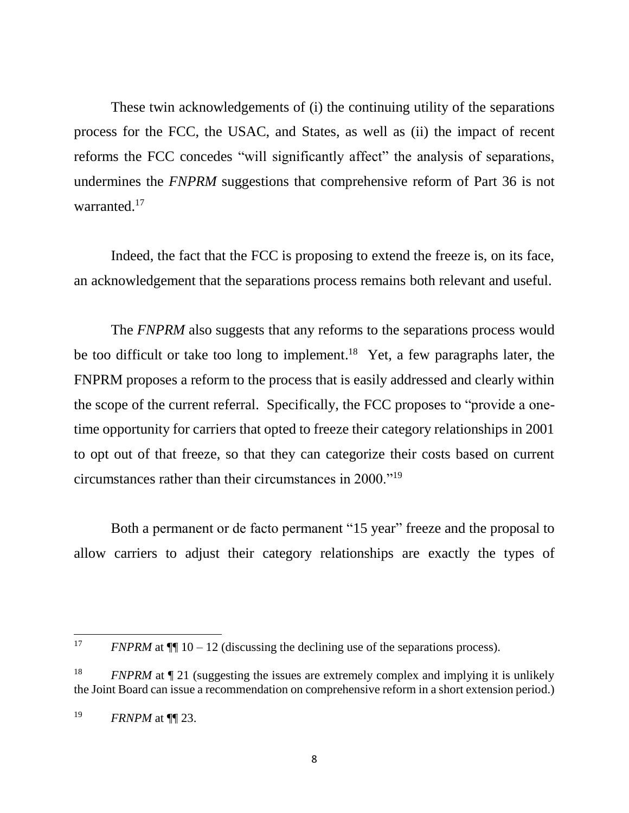These twin acknowledgements of (i) the continuing utility of the separations process for the FCC, the USAC, and States, as well as (ii) the impact of recent reforms the FCC concedes "will significantly affect" the analysis of separations, undermines the *FNPRM* suggestions that comprehensive reform of Part 36 is not warranted.<sup>17</sup>

Indeed, the fact that the FCC is proposing to extend the freeze is, on its face, an acknowledgement that the separations process remains both relevant and useful.

The *FNPRM* also suggests that any reforms to the separations process would be too difficult or take too long to implement.<sup>18</sup> Yet, a few paragraphs later, the FNPRM proposes a reform to the process that is easily addressed and clearly within the scope of the current referral. Specifically, the FCC proposes to "provide a onetime opportunity for carriers that opted to freeze their category relationships in 2001 to opt out of that freeze, so that they can categorize their costs based on current circumstances rather than their circumstances in 2000."<sup>19</sup>

Both a permanent or de facto permanent "15 year" freeze and the proposal to allow carriers to adjust their category relationships are exactly the types of

 $17\,$ *FNPRM* at  $\P$  10 – 12 (discussing the declining use of the separations process).

<sup>&</sup>lt;sup>18</sup> *FNPRM* at  $\P$  21 (suggesting the issues are extremely complex and implying it is unlikely the Joint Board can issue a recommendation on comprehensive reform in a short extension period.)

<sup>19</sup> *FRNPM* at ¶¶ 23.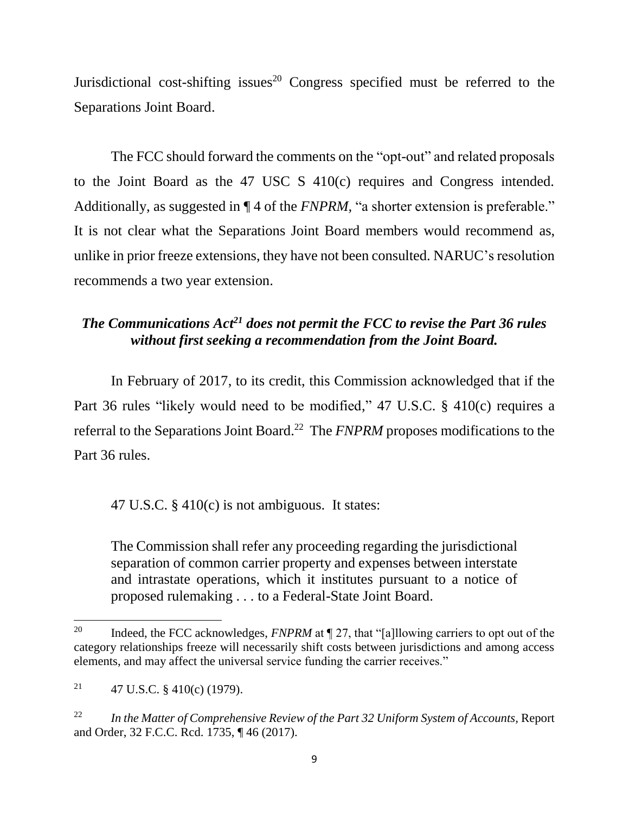Jurisdictional cost-shifting issues<sup>20</sup> Congress specified must be referred to the Separations Joint Board.

The FCC should forward the comments on the "opt-out" and related proposals to the Joint Board as the 47 USC S 410(c) requires and Congress intended. Additionally, as suggested in  $\P$  4 of the *FNPRM*, "a shorter extension is preferable." It is not clear what the Separations Joint Board members would recommend as, unlike in prior freeze extensions, they have not been consulted. NARUC's resolution recommends a two year extension.

## *The Communications Act<sup>21</sup> does not permit the FCC to revise the Part 36 rules without first seeking a recommendation from the Joint Board.*

In February of 2017, to its credit, this Commission acknowledged that if the Part 36 rules "likely would need to be modified," 47 U.S.C. § 410(c) requires a referral to the Separations Joint Board. <sup>22</sup> The *FNPRM* proposes modifications to the Part 36 rules.

47 U.S.C. § 410(c) is not ambiguous. It states:

The Commission shall refer any proceeding regarding the jurisdictional separation of common carrier property and expenses between interstate and intrastate operations, which it institutes pursuant to a notice of proposed rulemaking . . . to a Federal-State Joint Board.

<sup>20</sup> Indeed, the FCC acknowledges, *FNPRM* at  $\P$  27, that "[a]llowing carriers to opt out of the category relationships freeze will necessarily shift costs between jurisdictions and among access elements, and may affect the universal service funding the carrier receives."

<sup>&</sup>lt;sup>21</sup> 47 U.S.C. § 410(c) (1979).

<sup>&</sup>lt;sup>22</sup> *In the Matter of Comprehensive Review of the Part 32 Uniform System of Accounts, Report* and Order, 32 F.C.C. Rcd. 1735, ¶ 46 (2017).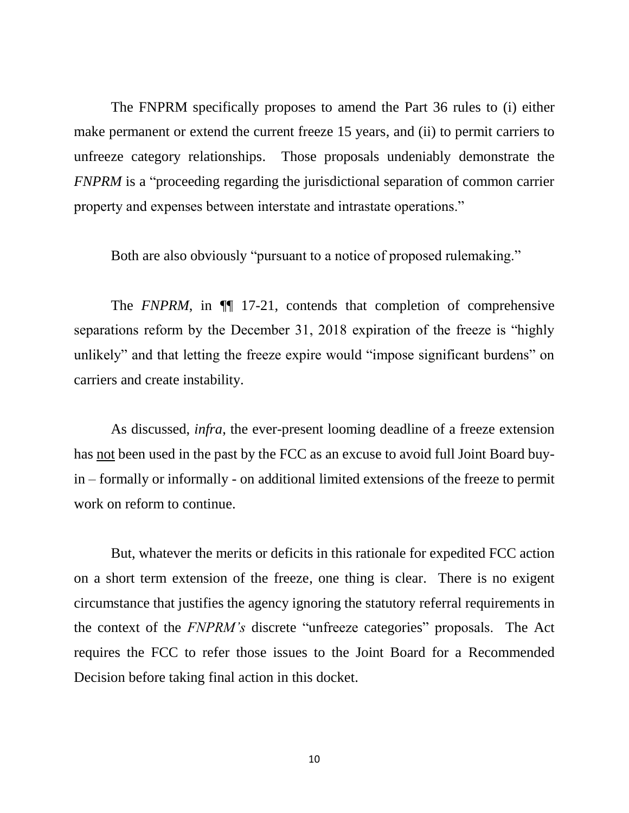The FNPRM specifically proposes to amend the Part 36 rules to (i) either make permanent or extend the current freeze 15 years, and (ii) to permit carriers to unfreeze category relationships. Those proposals undeniably demonstrate the *FNPRM* is a "proceeding regarding the jurisdictional separation of common carrier property and expenses between interstate and intrastate operations."

Both are also obviously "pursuant to a notice of proposed rulemaking."

The *FNPRM*, in ¶¶ 17-21, contends that completion of comprehensive separations reform by the December 31, 2018 expiration of the freeze is "highly unlikely" and that letting the freeze expire would "impose significant burdens" on carriers and create instability.

As discussed, *infra*, the ever-present looming deadline of a freeze extension has not been used in the past by the FCC as an excuse to avoid full Joint Board buyin – formally or informally - on additional limited extensions of the freeze to permit work on reform to continue.

But, whatever the merits or deficits in this rationale for expedited FCC action on a short term extension of the freeze, one thing is clear. There is no exigent circumstance that justifies the agency ignoring the statutory referral requirements in the context of the *FNPRM's* discrete "unfreeze categories" proposals. The Act requires the FCC to refer those issues to the Joint Board for a Recommended Decision before taking final action in this docket.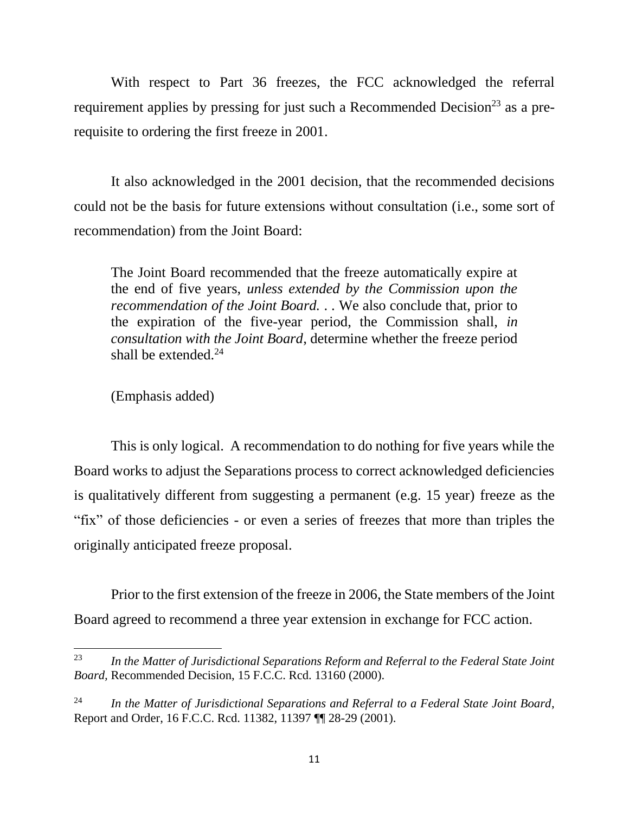With respect to Part 36 freezes, the FCC acknowledged the referral requirement applies by pressing for just such a Recommended Decision<sup>23</sup> as a prerequisite to ordering the first freeze in 2001.

It also acknowledged in the 2001 decision, that the recommended decisions could not be the basis for future extensions without consultation (i.e., some sort of recommendation) from the Joint Board:

The Joint Board recommended that the freeze automatically expire at the end of five years, *unless extended by the Commission upon the recommendation of the Joint Board.* . . We also conclude that, prior to the expiration of the five-year period, the Commission shall, *in consultation with the Joint Board*, determine whether the freeze period shall be extended. $24$ 

(Emphasis added)

This is only logical. A recommendation to do nothing for five years while the Board works to adjust the Separations process to correct acknowledged deficiencies is qualitatively different from suggesting a permanent (e.g. 15 year) freeze as the "fix" of those deficiencies - or even a series of freezes that more than triples the originally anticipated freeze proposal.

Prior to the first extension of the freeze in 2006, the State members of the Joint Board agreed to recommend a three year extension in exchange for FCC action.

 $\overline{\phantom{a}}$ <sup>23</sup> *In the Matter of Jurisdictional Separations Reform and Referral to the Federal State Joint Board,* Recommended Decision, 15 F.C.C. Rcd. 13160 (2000).

<sup>24</sup> *In the Matter of Jurisdictional Separations and Referral to a Federal State Joint Board*, Report and Order, 16 F.C.C. Rcd. 11382, 11397 ¶¶ 28-29 (2001).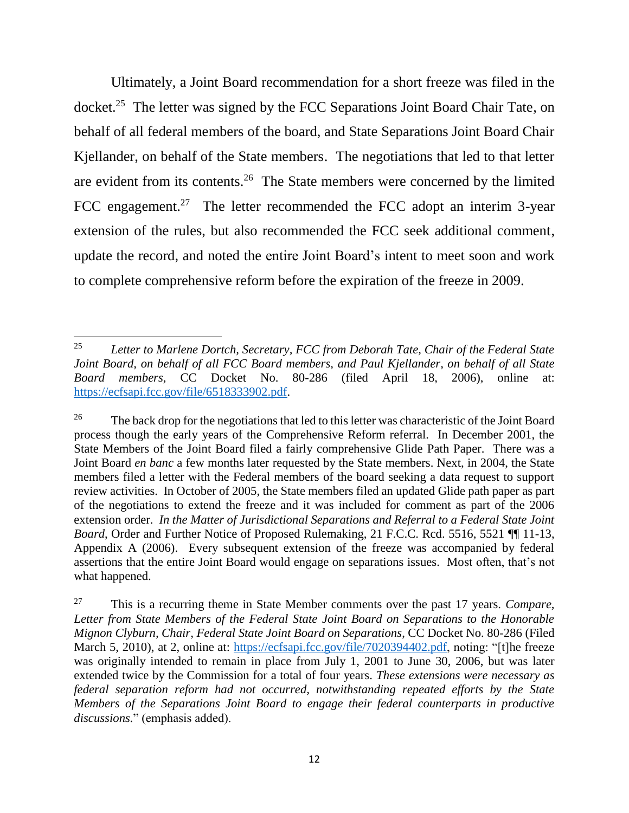Ultimately, a Joint Board recommendation for a short freeze was filed in the docket.<sup>25</sup> The letter was signed by the FCC Separations Joint Board Chair Tate, on behalf of all federal members of the board, and State Separations Joint Board Chair Kjellander, on behalf of the State members. The negotiations that led to that letter are evident from its contents.<sup>26</sup> The State members were concerned by the limited FCC engagement.<sup>27</sup> The letter recommended the FCC adopt an interim 3-year extension of the rules, but also recommended the FCC seek additional comment, update the record, and noted the entire Joint Board's intent to meet soon and work to complete comprehensive reform before the expiration of the freeze in 2009.

<sup>25</sup> <sup>25</sup> *Letter to Marlene Dortch, Secretary, FCC from Deborah Tate, Chair of the Federal State Joint Board, on behalf of all FCC Board members, and Paul Kjellander, on behalf of all State Board members*, CC Docket No. 80-286 (filed April 18, 2006), online at: [https://ecfsapi.fcc.gov/file/6518333902.pdf.](https://ecfsapi.fcc.gov/file/6518333902.pdf)

<sup>&</sup>lt;sup>26</sup> The back drop for the negotiations that led to this letter was characteristic of the Joint Board process though the early years of the Comprehensive Reform referral. In December 2001, the State Members of the Joint Board filed a fairly comprehensive Glide Path Paper. There was a Joint Board *en banc* a few months later requested by the State members. Next, in 2004, the State members filed a letter with the Federal members of the board seeking a data request to support review activities. In October of 2005, the State members filed an updated Glide path paper as part of the negotiations to extend the freeze and it was included for comment as part of the 2006 extension order. *In the Matter of Jurisdictional Separations and Referral to a Federal State Joint Board*, Order and Further Notice of Proposed Rulemaking, 21 F.C.C. Rcd. 5516, 5521 ¶¶ 11-13, Appendix A (2006). Every subsequent extension of the freeze was accompanied by federal assertions that the entire Joint Board would engage on separations issues. Most often, that's not what happened.

<sup>27</sup> This is a recurring theme in State Member comments over the past 17 years. *Compare, Letter from State Members of the Federal State Joint Board on Separations to the Honorable Mignon Clyburn, Chair, Federal State Joint Board on Separations*, CC Docket No. 80-286 (Filed March 5, 2010), at 2, online at: [https://ecfsapi.fcc.gov/file/7020394402.pdf,](https://ecfsapi.fcc.gov/file/7020394402.pdf) noting: "[t]he freeze was originally intended to remain in place from July 1, 2001 to June 30, 2006, but was later extended twice by the Commission for a total of four years. *These extensions were necessary as federal separation reform had not occurred, notwithstanding repeated efforts by the State Members of the Separations Joint Board to engage their federal counterparts in productive discussions.*" (emphasis added).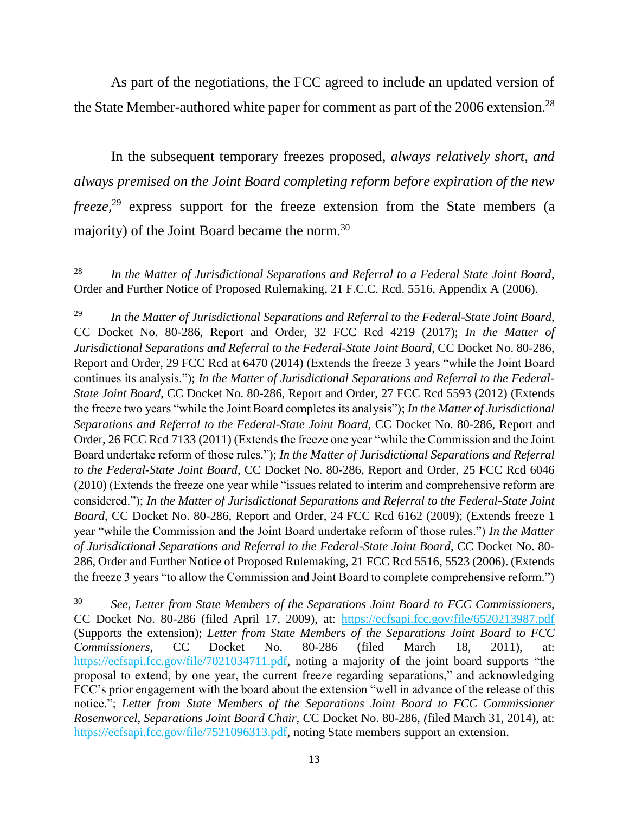As part of the negotiations, the FCC agreed to include an updated version of the State Member-authored white paper for comment as part of the 2006 extension.<sup>28</sup>

In the subsequent temporary freezes proposed, *always relatively short, and always premised on the Joint Board completing reform before expiration of the new freeze*, <sup>29</sup> express support for the freeze extension from the State members (a majority) of the Joint Board became the norm.<sup>30</sup>

<sup>30</sup> *See, Letter from State Members of the Separations Joint Board to FCC Commissioners*, CC Docket No. 80-286 (filed April 17, 2009), at: <https://ecfsapi.fcc.gov/file/6520213987.pdf> (Supports the extension); *Letter from State Members of the Separations Joint Board to FCC Commissioners*, CC Docket No. 80-286 (filed March 18, 2011), at: [https://ecfsapi.fcc.gov/file/7021034711.pdf,](https://ecfsapi.fcc.gov/file/7021034711.pdf) noting a majority of the joint board supports "the proposal to extend, by one year, the current freeze regarding separations," and acknowledging FCC's prior engagement with the board about the extension "well in advance of the release of this notice."; *Letter from State Members of the Separations Joint Board to FCC Commissioner Rosenworcel, Separations Joint Board Chair, C*C Docket No. 80-286, *(*filed March 31, 2014), at: [https://ecfsapi.fcc.gov/file/7521096313.pdf,](https://ecfsapi.fcc.gov/file/7521096313.pdf) noting State members support an extension.

 $28\,$ <sup>28</sup> *In the Matter of Jurisdictional Separations and Referral to a Federal State Joint Board*, Order and Further Notice of Proposed Rulemaking, 21 F.C.C. Rcd. 5516, Appendix A (2006).

<sup>29</sup> *In the Matter of Jurisdictional Separations and Referral to the Federal-State Joint Board*, CC Docket No. 80-286, Report and Order, 32 FCC Rcd 4219 (2017); *In the Matter of Jurisdictional Separations and Referral to the Federal-State Joint Board*, CC Docket No. 80-286, Report and Order, 29 FCC Rcd at 6470 (2014) (Extends the freeze 3 years "while the Joint Board continues its analysis."); *In the Matter of Jurisdictional Separations and Referral to the Federal-State Joint Board*, CC Docket No. 80-286, Report and Order, 27 FCC Rcd 5593 (2012) (Extends the freeze two years "while the Joint Board completes its analysis"); *In the Matter of Jurisdictional Separations and Referral to the Federal-State Joint Board*, CC Docket No. 80-286, Report and Order, 26 FCC Rcd 7133 (2011) (Extends the freeze one year "while the Commission and the Joint Board undertake reform of those rules."); *In the Matter of Jurisdictional Separations and Referral to the Federal-State Joint Board*, CC Docket No. 80-286, Report and Order, 25 FCC Rcd 6046 (2010) (Extends the freeze one year while "issues related to interim and comprehensive reform are considered."); *In the Matter of Jurisdictional Separations and Referral to the Federal-State Joint Board*, CC Docket No. 80-286, Report and Order, 24 FCC Rcd 6162 (2009); (Extends freeze 1 year "while the Commission and the Joint Board undertake reform of those rules.") *In the Matter of Jurisdictional Separations and Referral to the Federal-State Joint Board*, CC Docket No. 80- 286, Order and Further Notice of Proposed Rulemaking, 21 FCC Rcd 5516, 5523 (2006). (Extends the freeze 3 years "to allow the Commission and Joint Board to complete comprehensive reform.")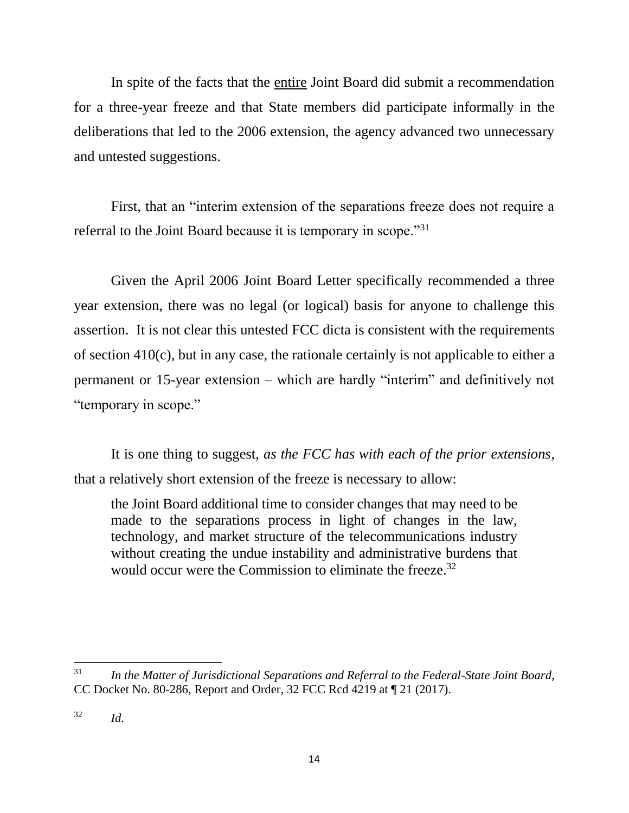In spite of the facts that the entire Joint Board did submit a recommendation for a three-year freeze and that State members did participate informally in the deliberations that led to the 2006 extension, the agency advanced two unnecessary and untested suggestions.

First, that an "interim extension of the separations freeze does not require a referral to the Joint Board because it is temporary in scope."<sup>31</sup>

Given the April 2006 Joint Board Letter specifically recommended a three year extension, there was no legal (or logical) basis for anyone to challenge this assertion. It is not clear this untested FCC dicta is consistent with the requirements of section 410(c), but in any case, the rationale certainly is not applicable to either a permanent or 15-year extension – which are hardly "interim" and definitively not "temporary in scope."

It is one thing to suggest, *as the FCC has with each of the prior extensions*, that a relatively short extension of the freeze is necessary to allow:

the Joint Board additional time to consider changes that may need to be made to the separations process in light of changes in the law, technology, and market structure of the telecommunications industry without creating the undue instability and administrative burdens that would occur were the Commission to eliminate the freeze.<sup>32</sup>

 $31$ <sup>31</sup> *In the Matter of Jurisdictional Separations and Referral to the Federal-State Joint Board*, CC Docket No. 80-286, Report and Order, 32 FCC Rcd 4219 at ¶ 21 (2017).

<sup>32</sup> *Id.*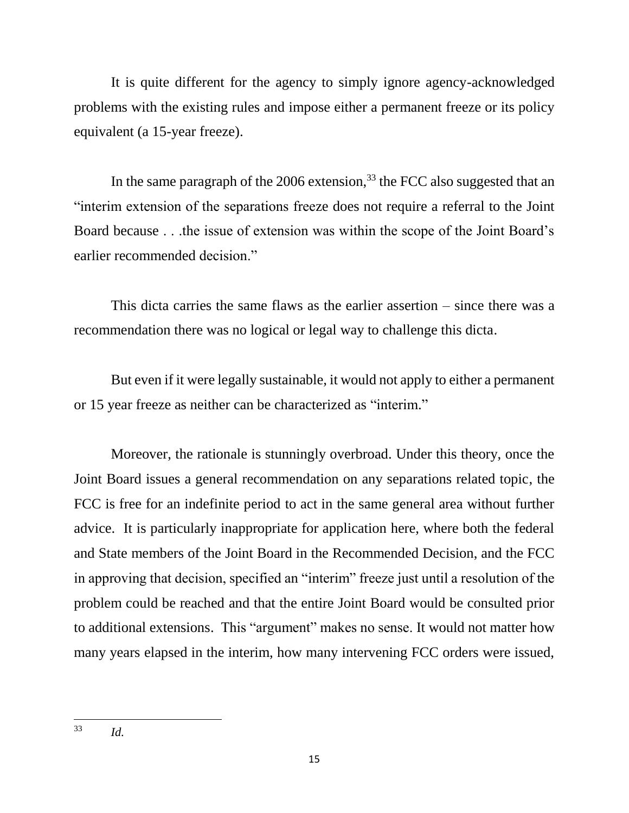It is quite different for the agency to simply ignore agency-acknowledged problems with the existing rules and impose either a permanent freeze or its policy equivalent (a 15-year freeze).

In the same paragraph of the 2006 extension,  $33$  the FCC also suggested that an "interim extension of the separations freeze does not require a referral to the Joint Board because . . .the issue of extension was within the scope of the Joint Board's earlier recommended decision."

This dicta carries the same flaws as the earlier assertion – since there was a recommendation there was no logical or legal way to challenge this dicta.

But even if it were legally sustainable, it would not apply to either a permanent or 15 year freeze as neither can be characterized as "interim."

Moreover, the rationale is stunningly overbroad. Under this theory, once the Joint Board issues a general recommendation on any separations related topic, the FCC is free for an indefinite period to act in the same general area without further advice. It is particularly inappropriate for application here, where both the federal and State members of the Joint Board in the Recommended Decision, and the FCC in approving that decision, specified an "interim" freeze just until a resolution of the problem could be reached and that the entire Joint Board would be consulted prior to additional extensions. This "argument" makes no sense. It would not matter how many years elapsed in the interim, how many intervening FCC orders were issued,

 $\overline{\phantom{a}}$ <sup>33</sup> *Id.*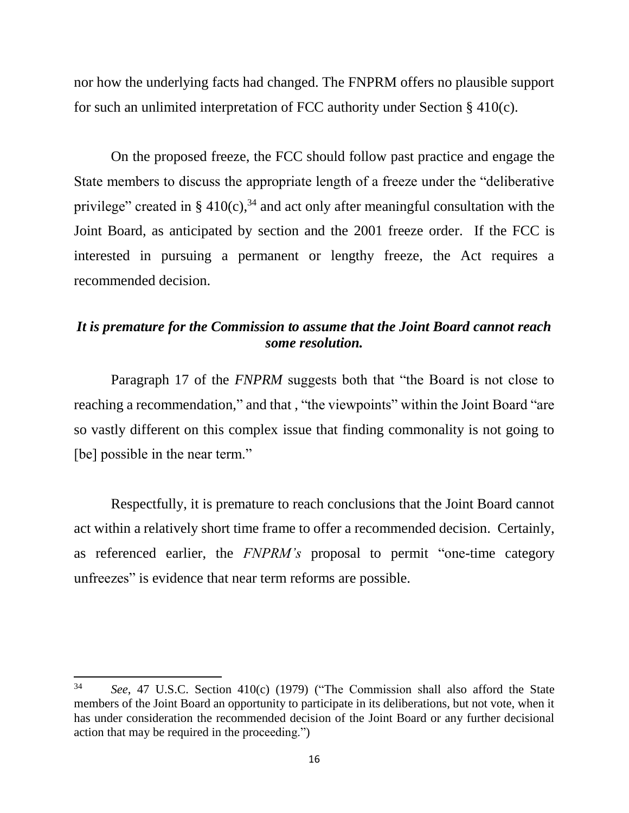nor how the underlying facts had changed. The FNPRM offers no plausible support for such an unlimited interpretation of FCC authority under Section § 410(c).

On the proposed freeze, the FCC should follow past practice and engage the State members to discuss the appropriate length of a freeze under the "deliberative privilege" created in § 410(c),<sup>34</sup> and act only after meaningful consultation with the Joint Board, as anticipated by section and the 2001 freeze order. If the FCC is interested in pursuing a permanent or lengthy freeze, the Act requires a recommended decision.

### *It is premature for the Commission to assume that the Joint Board cannot reach some resolution.*

Paragraph 17 of the *FNPRM* suggests both that "the Board is not close to reaching a recommendation," and that, "the viewpoints" within the Joint Board "are so vastly different on this complex issue that finding commonality is not going to [be] possible in the near term."

Respectfully, it is premature to reach conclusions that the Joint Board cannot act within a relatively short time frame to offer a recommended decision. Certainly, as referenced earlier, the *FNPRM's* proposal to permit "one-time category unfreezes" is evidence that near term reforms are possible.

 $\overline{a}$ 

<sup>34</sup> *See*, 47 U.S.C. Section 410(c) (1979) ("The Commission shall also afford the State members of the Joint Board an opportunity to participate in its deliberations, but not vote, when it has under consideration the recommended decision of the Joint Board or any further decisional action that may be required in the proceeding.")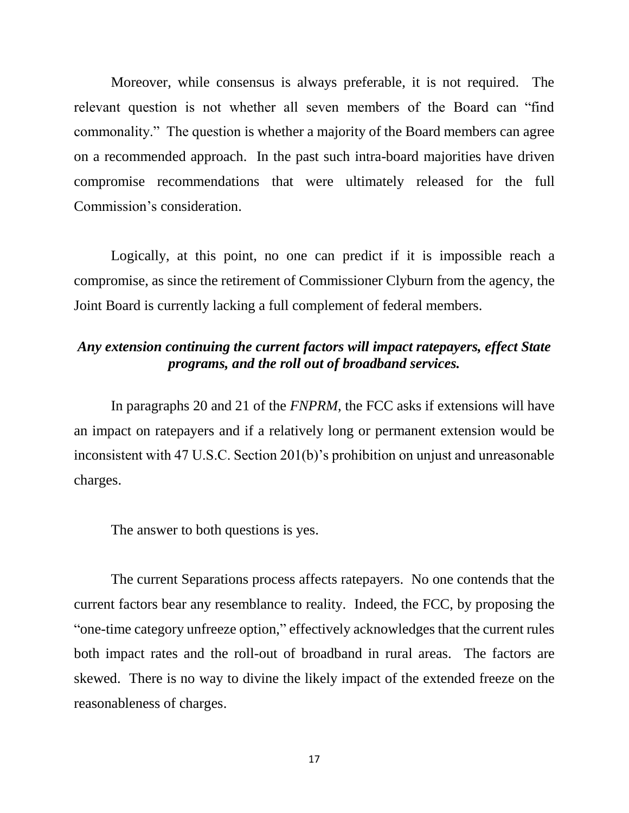Moreover, while consensus is always preferable, it is not required. The relevant question is not whether all seven members of the Board can "find commonality." The question is whether a majority of the Board members can agree on a recommended approach. In the past such intra-board majorities have driven compromise recommendations that were ultimately released for the full Commission's consideration.

Logically, at this point, no one can predict if it is impossible reach a compromise, as since the retirement of Commissioner Clyburn from the agency, the Joint Board is currently lacking a full complement of federal members.

## *Any extension continuing the current factors will impact ratepayers, effect State programs, and the roll out of broadband services.*

In paragraphs 20 and 21 of the *FNPRM*, the FCC asks if extensions will have an impact on ratepayers and if a relatively long or permanent extension would be inconsistent with 47 U.S.C. Section 201(b)'s prohibition on unjust and unreasonable charges.

The answer to both questions is yes.

The current Separations process affects ratepayers. No one contends that the current factors bear any resemblance to reality. Indeed, the FCC, by proposing the "one-time category unfreeze option," effectively acknowledges that the current rules both impact rates and the roll-out of broadband in rural areas. The factors are skewed. There is no way to divine the likely impact of the extended freeze on the reasonableness of charges.

17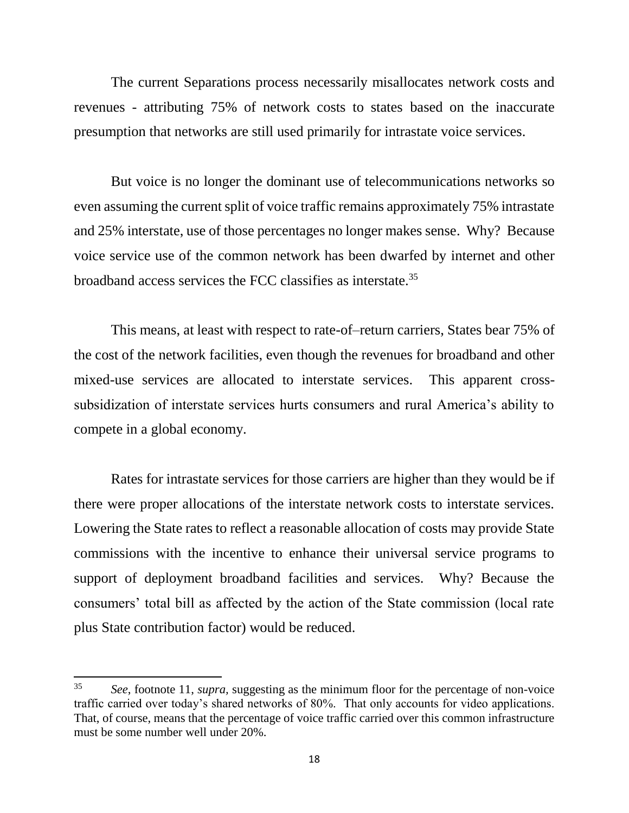The current Separations process necessarily misallocates network costs and revenues - attributing 75% of network costs to states based on the inaccurate presumption that networks are still used primarily for intrastate voice services.

But voice is no longer the dominant use of telecommunications networks so even assuming the current split of voice traffic remains approximately 75% intrastate and 25% interstate, use of those percentages no longer makes sense. Why? Because voice service use of the common network has been dwarfed by internet and other broadband access services the FCC classifies as interstate.<sup>35</sup>

This means, at least with respect to rate-of–return carriers, States bear 75% of the cost of the network facilities, even though the revenues for broadband and other mixed-use services are allocated to interstate services. This apparent crosssubsidization of interstate services hurts consumers and rural America's ability to compete in a global economy.

Rates for intrastate services for those carriers are higher than they would be if there were proper allocations of the interstate network costs to interstate services. Lowering the State rates to reflect a reasonable allocation of costs may provide State commissions with the incentive to enhance their universal service programs to support of deployment broadband facilities and services. Why? Because the consumers' total bill as affected by the action of the State commission (local rate plus State contribution factor) would be reduced.

 $\overline{a}$ 

<sup>35</sup> *See*, footnote 11, *supra,* suggesting as the minimum floor for the percentage of non-voice traffic carried over today's shared networks of 80%. That only accounts for video applications. That, of course, means that the percentage of voice traffic carried over this common infrastructure must be some number well under 20%.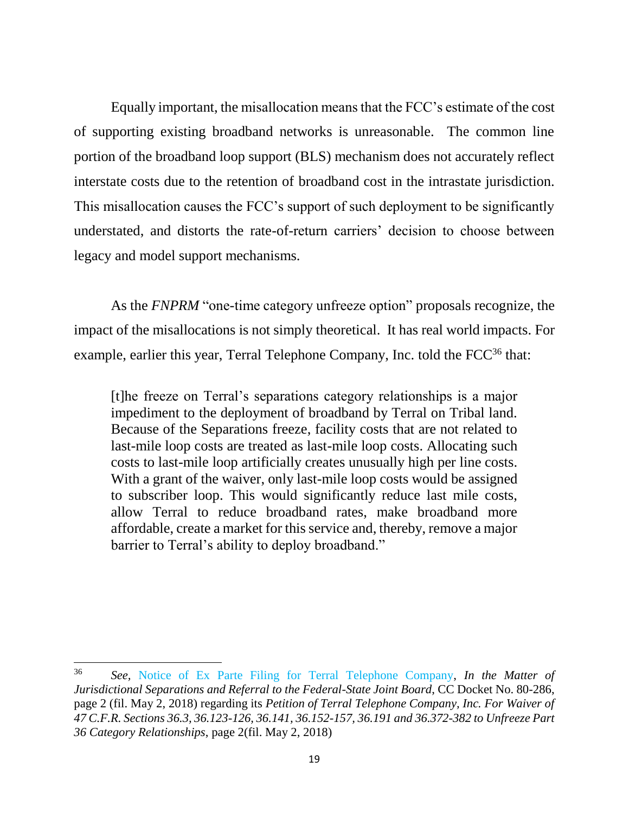Equally important, the misallocation means that the FCC's estimate of the cost of supporting existing broadband networks is unreasonable. The common line portion of the broadband loop support (BLS) mechanism does not accurately reflect interstate costs due to the retention of broadband cost in the intrastate jurisdiction. This misallocation causes the FCC's support of such deployment to be significantly understated, and distorts the rate-of-return carriers' decision to choose between legacy and model support mechanisms.

As the *FNPRM* "one-time category unfreeze option" proposals recognize, the impact of the misallocations is not simply theoretical. It has real world impacts. For example, earlier this year, Terral Telephone Company, Inc. told the FCC<sup>36</sup> that:

[t]he freeze on Terral's separations category relationships is a major impediment to the deployment of broadband by Terral on Tribal land. Because of the Separations freeze, facility costs that are not related to last-mile loop costs are treated as last-mile loop costs. Allocating such costs to last-mile loop artificially creates unusually high per line costs. With a grant of the waiver, only last-mile loop costs would be assigned to subscriber loop. This would significantly reduce last mile costs, allow Terral to reduce broadband rates, make broadband more affordable, create a market for this service and, thereby, remove a major barrier to Terral's ability to deploy broadband."

<sup>36</sup> <sup>36</sup> *See,* [Notice of Ex Parte Filing for Terral Telephone Company,](https://www.fcc.gov/ecfs/filing/102080946506580) *In the Matter of Jurisdictional Separations and Referral to the Federal-State Joint Board*, CC Docket No. 80-286, page 2 (fil. May 2, 2018) regarding its *Petition of Terral Telephone Company, Inc. For Waiver of 47 C.F.R. Sections 36.3, 36.123-126, 36.141, 36.152-157, 36.191 and 36.372-382 to Unfreeze Part 36 Category Relationships*, page 2(fil. May 2, 2018)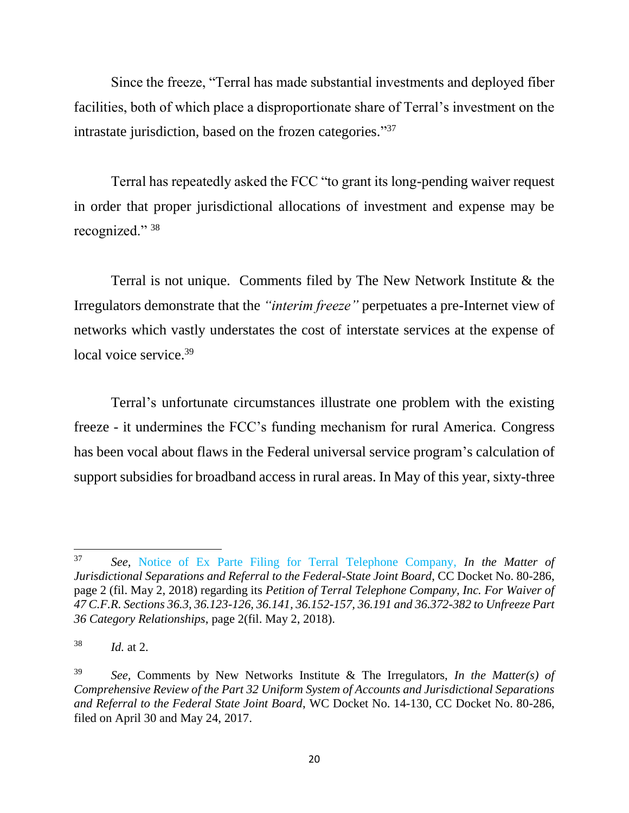Since the freeze, "Terral has made substantial investments and deployed fiber facilities, both of which place a disproportionate share of Terral's investment on the intrastate jurisdiction, based on the frozen categories."<sup>37</sup>

Terral has repeatedly asked the FCC "to grant its long-pending waiver request in order that proper jurisdictional allocations of investment and expense may be recognized." 38

Terral is not unique. Comments filed by The New Network Institute & the Irregulators demonstrate that the *"interim freeze"* perpetuates a pre-Internet view of networks which vastly understates the cost of interstate services at the expense of local voice service.<sup>39</sup>

Terral's unfortunate circumstances illustrate one problem with the existing freeze - it undermines the FCC's funding mechanism for rural America. Congress has been vocal about flaws in the Federal universal service program's calculation of support subsidies for broadband access in rural areas. In May of this year, sixty-three

 $\overline{\phantom{a}}$ 

<sup>37</sup> *See,* [Notice of Ex Parte Filing for Terral Telephone Company,](https://ecfsapi.fcc.gov/file/10731303604633/terral-2.pdf) *In the Matter of Jurisdictional Separations and Referral to the Federal-State Joint Board*, CC Docket No. 80-286, page 2 (fil. May 2, 2018) regarding its *Petition of Terral Telephone Company, Inc. For Waiver of 47 C.F.R. Sections 36.3, 36.123-126, 36.141, 36.152-157, 36.191 and 36.372-382 to Unfreeze Part 36 Category Relationships*, page 2(fil. May 2, 2018).

<sup>38</sup> *Id.* at 2.

<sup>39</sup> *See,* Comments by New Networks Institute & The Irregulators, *In the Matter(s) of Comprehensive Review of the Part 32 Uniform System of Accounts and Jurisdictional Separations and Referral to the Federal State Joint Board*, WC Docket No. 14-130, CC Docket No. 80-286, filed on April 30 and May 24, 2017.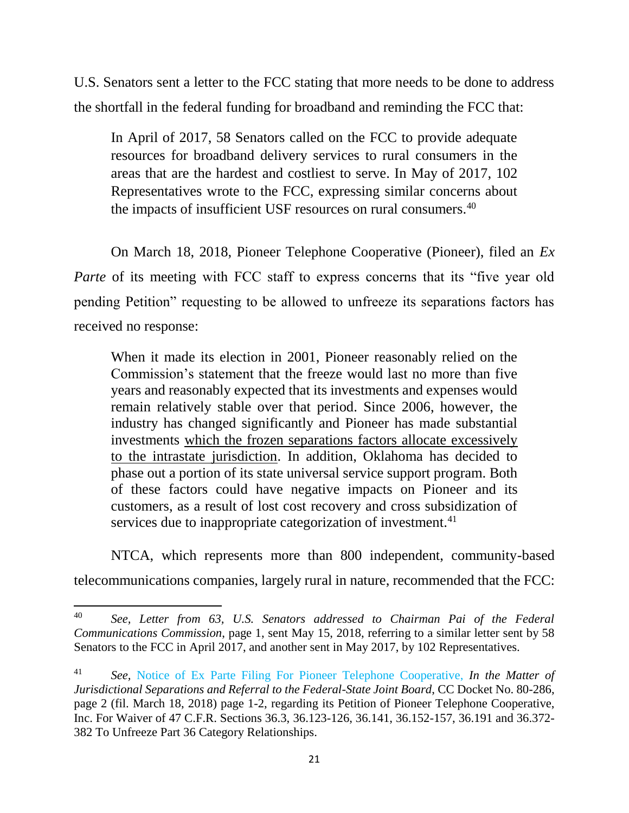U.S. Senators sent a letter to the FCC stating that more needs to be done to address the shortfall in the federal funding for broadband and reminding the FCC that:

In April of 2017, 58 Senators called on the FCC to provide adequate resources for broadband delivery services to rural consumers in the areas that are the hardest and costliest to serve. In May of 2017, 102 Representatives wrote to the FCC, expressing similar concerns about the impacts of insufficient USF resources on rural consumers.<sup>40</sup>

On March 18, 2018, Pioneer Telephone Cooperative (Pioneer), filed an *Ex Parte* of its meeting with FCC staff to express concerns that its "five year old pending Petition" requesting to be allowed to unfreeze its separations factors has received no response:

When it made its election in 2001, Pioneer reasonably relied on the Commission's statement that the freeze would last no more than five years and reasonably expected that its investments and expenses would remain relatively stable over that period. Since 2006, however, the industry has changed significantly and Pioneer has made substantial investments which the frozen separations factors allocate excessively to the intrastate jurisdiction. In addition, Oklahoma has decided to phase out a portion of its state universal service support program. Both of these factors could have negative impacts on Pioneer and its customers, as a result of lost cost recovery and cross subsidization of services due to inappropriate categorization of investment.<sup>41</sup>

NTCA, which represents more than 800 independent, community-based telecommunications companies, largely rural in nature, recommended that the FCC:

<sup>40</sup> <sup>40</sup> *See, Letter from 63, U.S. Senators addressed to Chairman Pai of the Federal Communications Commission*, page 1, sent May 15, 2018, referring to a similar letter sent by 58 Senators to the FCC in April 2017, and another sent in May 2017, by 102 Representatives.

<sup>41</sup> *See,* [Notice of Ex Parte Filing For Pioneer Telephone Cooperative,](https://ecfsapi.fcc.gov/file/10319251015719/Ex%20parte%20031818.pdf) *In the Matter of Jurisdictional Separations and Referral to the Federal-State Joint Board*, CC Docket No. 80-286, page 2 (fil. March 18, 2018) page 1-2, regarding its Petition of Pioneer Telephone Cooperative, Inc. For Waiver of 47 C.F.R. Sections 36.3, 36.123-126, 36.141, 36.152-157, 36.191 and 36.372- 382 To Unfreeze Part 36 Category Relationships.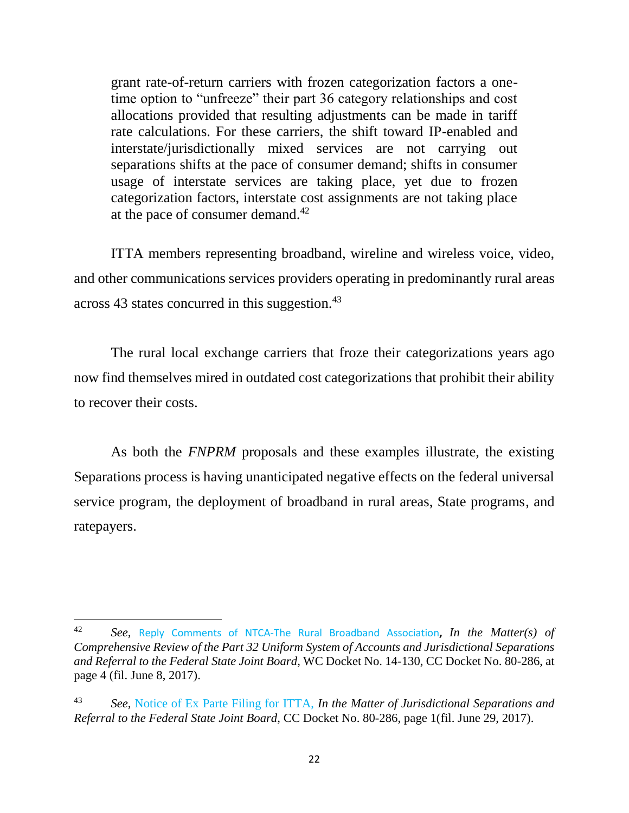grant rate-of-return carriers with frozen categorization factors a onetime option to "unfreeze" their part 36 category relationships and cost allocations provided that resulting adjustments can be made in tariff rate calculations. For these carriers, the shift toward IP-enabled and interstate/jurisdictionally mixed services are not carrying out separations shifts at the pace of consumer demand; shifts in consumer usage of interstate services are taking place, yet due to frozen categorization factors, interstate cost assignments are not taking place at the pace of consumer demand.<sup>42</sup>

ITTA members representing broadband, wireline and wireless voice, video, and other communications services providers operating in predominantly rural areas across 43 states concurred in this suggestion.<sup>43</sup>

The rural local exchange carriers that froze their categorizations years ago now find themselves mired in outdated cost categorizations that prohibit their ability to recover their costs.

As both the *FNPRM* proposals and these examples illustrate, the existing Separations process is having unanticipated negative effects on the federal universal service program, the deployment of broadband in rural areas, State programs, and ratepayers.

 $\overline{\phantom{a}}$ 

<sup>42</sup> *See,* [Reply Comments of NTCA-The Rural Broadband Association](https://ecfsapi.fcc.gov/file/10608271545819/6.8.17%20NTCA%20Separations%2080-286%20Reply%20Comments%20FINAL.pdf)**,** *In the Matter(s) of Comprehensive Review of the Part 32 Uniform System of Accounts and Jurisdictional Separations and Referral to the Federal State Joint Board*, WC Docket No. 14-130, CC Docket No. 80-286, at page 4 (fil. June 8, 2017).

<sup>43</sup> *See,* [Notice of Ex Parte Filing for ITTA,](https://www.fcc.gov/ecfs/filing/1063082002120) *In the Matter of Jurisdictional Separations and Referral to the Federal State Joint Board*, CC Docket No. 80-286, page 1(fil. June 29, 2017).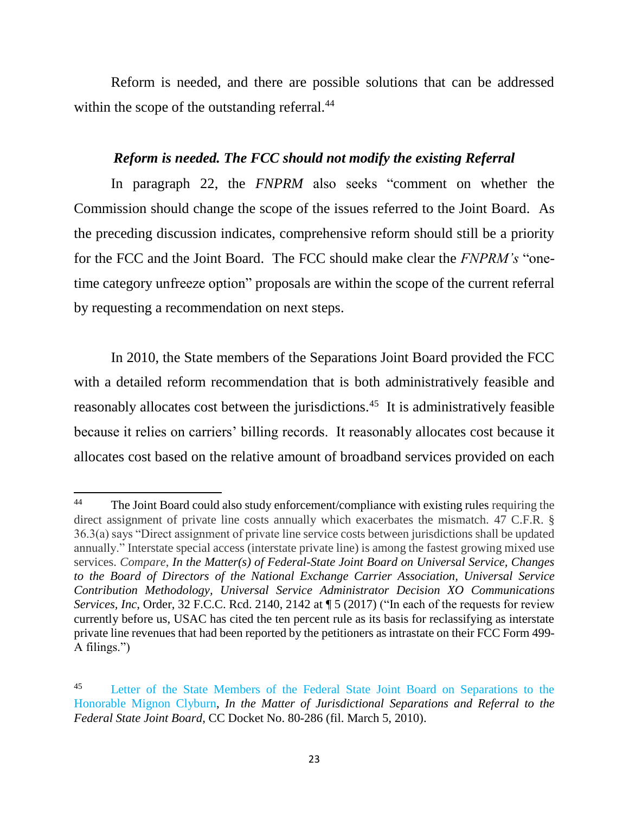Reform is needed, and there are possible solutions that can be addressed within the scope of the outstanding referral.<sup>44</sup>

### *Reform is needed. The FCC should not modify the existing Referral*

In paragraph 22, the *FNPRM* also seeks "comment on whether the Commission should change the scope of the issues referred to the Joint Board. As the preceding discussion indicates, comprehensive reform should still be a priority for the FCC and the Joint Board. The FCC should make clear the *FNPRM's* "onetime category unfreeze option" proposals are within the scope of the current referral by requesting a recommendation on next steps.

In 2010, the State members of the Separations Joint Board provided the FCC with a detailed reform recommendation that is both administratively feasible and reasonably allocates cost between the jurisdictions.<sup>45</sup> It is administratively feasible because it relies on carriers' billing records. It reasonably allocates cost because it allocates cost based on the relative amount of broadband services provided on each

 $44$ <sup>44</sup> The Joint Board could also study enforcement/compliance with existing rules requiring the direct assignment of private line costs annually which exacerbates the mismatch. 47 C.F.R. § 36.3(a) says "Direct assignment of private line service costs between jurisdictions shall be updated annually." Interstate special access (interstate private line) is among the fastest growing mixed use services. *Compare*, *In the Matter(s) of Federal-State Joint Board on Universal Service, Changes to the Board of Directors of the National Exchange Carrier Association, Universal Service Contribution Methodology, Universal Service Administrator Decision XO Communications Services, Inc, Order, 32 F.C.C. Rcd. 2140, 2142 at*  $\sqrt{5}$  (2017) ("In each of the requests for review currently before us, USAC has cited the ten percent rule as its basis for reclassifying as interstate private line revenues that had been reported by the petitioners as intrastate on their FCC Form 499- A filings.")

<sup>45</sup> [Letter of the State Members of the Federal State Joint Board on Separations to the](https://www.fcc.gov/ecfs/filing/6015541474)  [Honorable Mignon Clyburn,](https://www.fcc.gov/ecfs/filing/6015541474) *In the Matter of Jurisdictional Separations and Referral to the Federal State Joint Board*, CC Docket No. 80-286 (fil. March 5, 2010).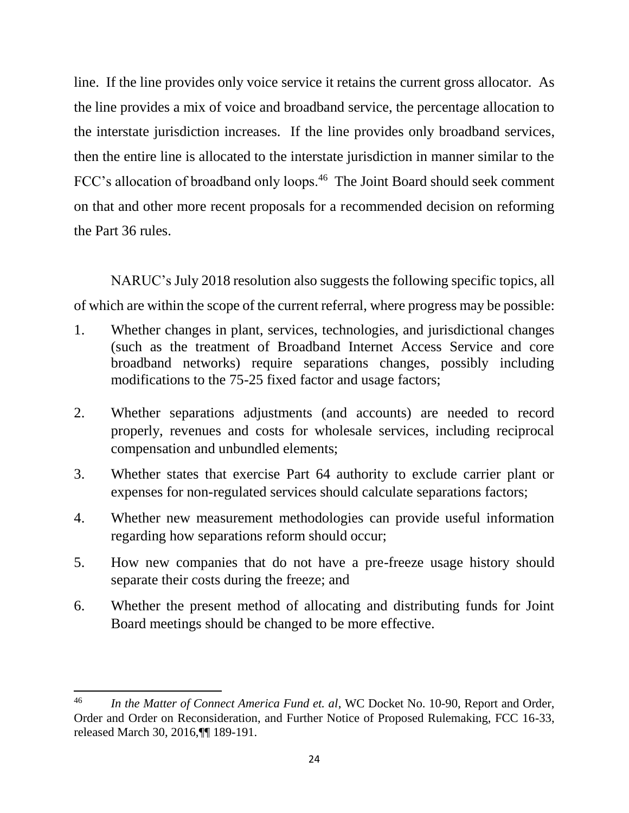line. If the line provides only voice service it retains the current gross allocator. As the line provides a mix of voice and broadband service, the percentage allocation to the interstate jurisdiction increases. If the line provides only broadband services, then the entire line is allocated to the interstate jurisdiction in manner similar to the FCC's allocation of broadband only loops.<sup>46</sup> The Joint Board should seek comment on that and other more recent proposals for a recommended decision on reforming the Part 36 rules.

NARUC's July 2018 resolution also suggests the following specific topics, all of which are within the scope of the current referral, where progress may be possible:

- 1. Whether changes in plant, services, technologies, and jurisdictional changes (such as the treatment of Broadband Internet Access Service and core broadband networks) require separations changes, possibly including modifications to the 75-25 fixed factor and usage factors;
- 2. Whether separations adjustments (and accounts) are needed to record properly, revenues and costs for wholesale services, including reciprocal compensation and unbundled elements;
- 3. Whether states that exercise Part 64 authority to exclude carrier plant or expenses for non-regulated services should calculate separations factors;
- 4. Whether new measurement methodologies can provide useful information regarding how separations reform should occur;
- 5. How new companies that do not have a pre-freeze usage history should separate their costs during the freeze; and
- 6. Whether the present method of allocating and distributing funds for Joint Board meetings should be changed to be more effective.

 $\overline{\phantom{a}}$ <sup>46</sup> *In the Matter of Connect America Fund et. al*, WC Docket No. 10-90, Report and Order, Order and Order on Reconsideration, and Further Notice of Proposed Rulemaking, FCC 16-33, released March 30, 2016,¶¶ 189-191.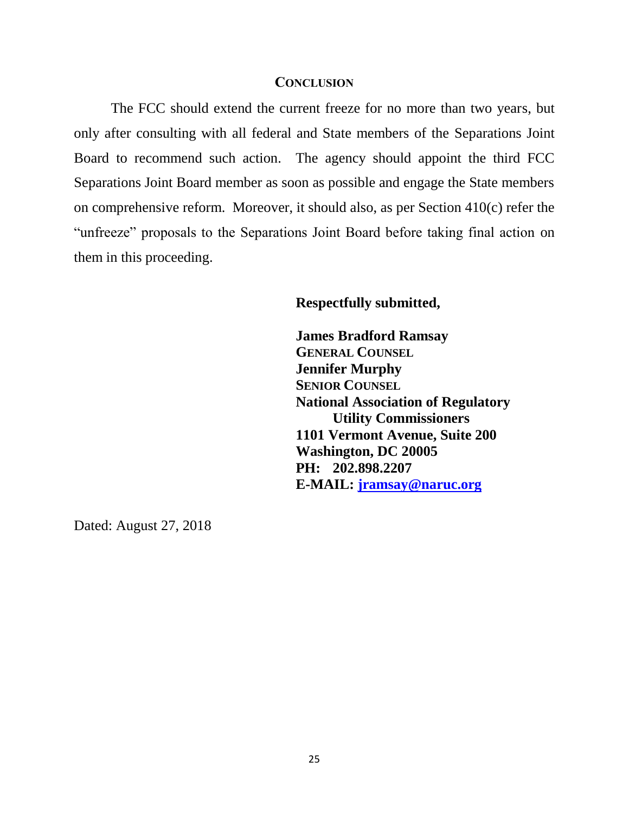#### **CONCLUSION**

The FCC should extend the current freeze for no more than two years, but only after consulting with all federal and State members of the Separations Joint Board to recommend such action. The agency should appoint the third FCC Separations Joint Board member as soon as possible and engage the State members on comprehensive reform. Moreover, it should also, as per Section 410(c) refer the "unfreeze" proposals to the Separations Joint Board before taking final action on them in this proceeding.

#### **Respectfully submitted,**

**James Bradford Ramsay GENERAL COUNSEL Jennifer Murphy SENIOR COUNSEL National Association of Regulatory Utility Commissioners 1101 Vermont Avenue, Suite 200 Washington, DC 20005 PH: 202.898.2207 E-MAIL: [jramsay@naruc.org](mailto:jramsay@naruc.org)**

Dated: August 27, 2018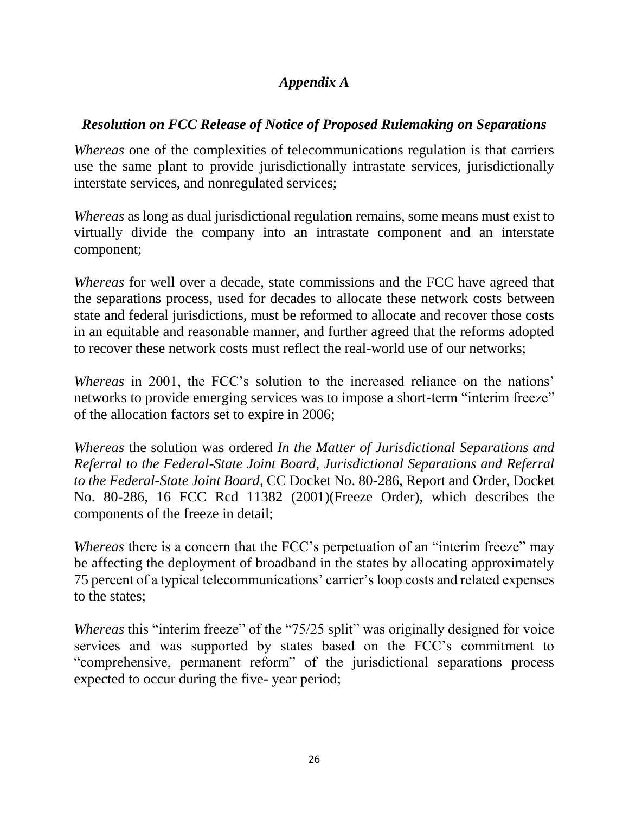# *Appendix A*

## *Resolution on FCC Release of Notice of Proposed Rulemaking on Separations*

*Whereas* one of the complexities of telecommunications regulation is that carriers use the same plant to provide jurisdictionally intrastate services, jurisdictionally interstate services, and nonregulated services;

*Whereas* as long as dual jurisdictional regulation remains, some means must exist to virtually divide the company into an intrastate component and an interstate component;

*Whereas* for well over a decade, state commissions and the FCC have agreed that the separations process, used for decades to allocate these network costs between state and federal jurisdictions, must be reformed to allocate and recover those costs in an equitable and reasonable manner, and further agreed that the reforms adopted to recover these network costs must reflect the real-world use of our networks;

*Whereas* in 2001, the FCC's solution to the increased reliance on the nations' networks to provide emerging services was to impose a short-term "interim freeze" of the allocation factors set to expire in 2006;

*Whereas* the solution was ordered *In the Matter of Jurisdictional Separations and Referral to the Federal-State Joint Board*, *Jurisdictional Separations and Referral to the Federal-State Joint Board*, CC Docket No. 80-286, Report and Order, Docket No. 80-286, 16 FCC Rcd 11382 (2001)(Freeze Order), which describes the components of the freeze in detail;

*Whereas* there is a concern that the FCC's perpetuation of an "interim freeze" may be affecting the deployment of broadband in the states by allocating approximately 75 percent of a typical telecommunications' carrier's loop costs and related expenses to the states;

*Whereas* this "interim freeze" of the "75/25 split" was originally designed for voice services and was supported by states based on the FCC's commitment to "comprehensive, permanent reform" of the jurisdictional separations process expected to occur during the five- year period;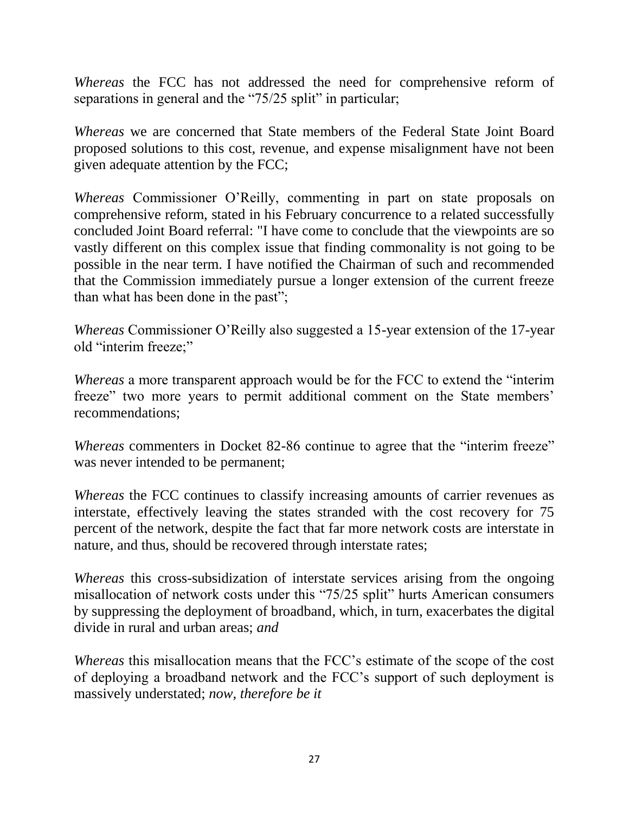*Whereas* the FCC has not addressed the need for comprehensive reform of separations in general and the "75/25 split" in particular;

*Whereas* we are concerned that State members of the Federal State Joint Board proposed solutions to this cost, revenue, and expense misalignment have not been given adequate attention by the FCC;

*Whereas* Commissioner O'Reilly, commenting in part on state proposals on comprehensive reform, stated in his February concurrence to a related successfully concluded Joint Board referral: "I have come to conclude that the viewpoints are so vastly different on this complex issue that finding commonality is not going to be possible in the near term. I have notified the Chairman of such and recommended that the Commission immediately pursue a longer extension of the current freeze than what has been done in the past";

*Whereas* Commissioner O'Reilly also suggested a 15-year extension of the 17-year old "interim freeze;"

*Whereas* a more transparent approach would be for the FCC to extend the "interim freeze" two more years to permit additional comment on the State members' recommendations;

*Whereas* commenters in Docket 82-86 continue to agree that the "interim freeze" was never intended to be permanent;

*Whereas* the FCC continues to classify increasing amounts of carrier revenues as interstate, effectively leaving the states stranded with the cost recovery for 75 percent of the network, despite the fact that far more network costs are interstate in nature, and thus, should be recovered through interstate rates;

*Whereas* this cross-subsidization of interstate services arising from the ongoing misallocation of network costs under this "75/25 split" hurts American consumers by suppressing the deployment of broadband, which, in turn, exacerbates the digital divide in rural and urban areas; *and*

*Whereas* this misallocation means that the FCC's estimate of the scope of the cost of deploying a broadband network and the FCC's support of such deployment is massively understated; *now, therefore be it*